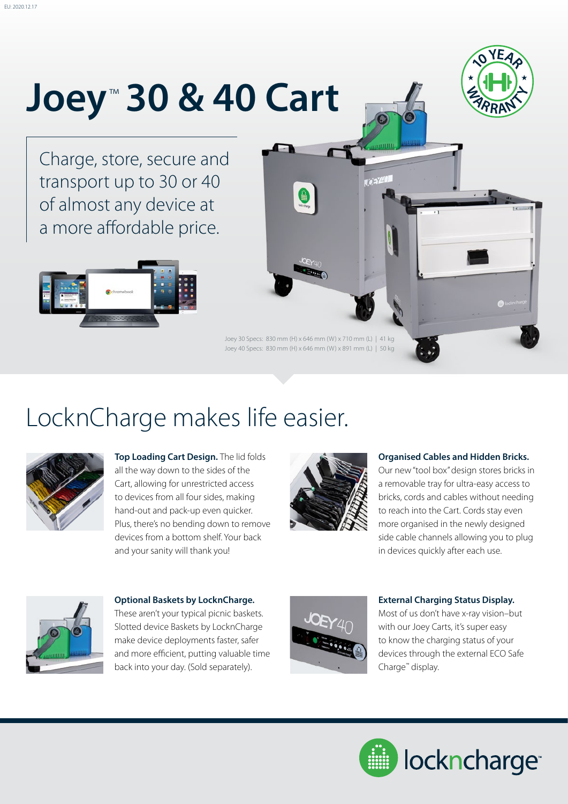# **Joey**™  **30 & 40 Cart**



Charge, store, secure and transport up to 30 or 40 of almost any device at a more affordable price.





0

### LocknCharge makes life easier.



**Top Loading Cart Design.** The lid folds all the way down to the sides of the Cart, allowing for unrestricted access to devices from all four sides, making hand-out and pack-up even quicker. Plus, there's no bending down to remove devices from a bottom shelf. Your back and your sanity will thank you!



#### **Organised Cables and Hidden Bricks.**

Our new "tool box" design stores bricks in a removable tray for ultra-easy access to bricks, cords and cables without needing to reach into the Cart. Cords stay even more organised in the newly designed side cable channels allowing you to plug in devices quickly after each use.



**Optional Baskets by LocknCharge.** These aren't your typical picnic baskets. Slotted device Baskets by LocknCharge make device deployments faster, safer and more efficient, putting valuable time back into your day. (Sold separately).



#### **External Charging Status Display.**

Most of us don't have x-ray vision–but with our Joey Carts, it's super easy to know the charging status of your devices through the external ECO Safe Charge™ display.